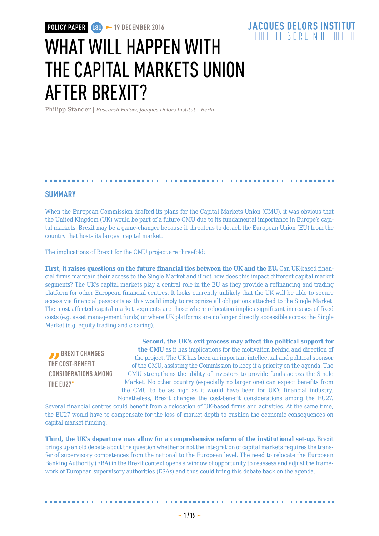# **JACQUES DELORS INSTITUT**

# WHAT WILL HAPPFN WITH THE CAPITAL MARKETS UNION AFTER BREXIT?

Philipp Ständer | *Research Fellow, Jacques Delors Institut – Berlin*

## **SUMMARY**

When the European Commission drafted its plans for the Capital Markets Union (CMU), it was obvious that the United Kingdom (UK) would be part of a future CMU due to its fundamental importance in Europe's capital markets. Brexit may be a game-changer because it threatens to detach the European Union (EU) from the country that hosts its largest capital market.

The implications of Brexit for the CMU project are threefold:

**First, it raises questions on the future financial ties between the UK and the EU.** Can UK-based financial firms maintain their access to the Single Market and if not how does this impact different capital market segments? The UK's capital markets play a central role in the EU as they provide a refinancing and trading platform for other European financial centres. It looks currently unlikely that the UK will be able to secure access via financial passports as this would imply to recognize all obligations attached to the Single Market. The most affected capital market segments are those where relocation implies significant increases of fixed costs (e.g. asset management funds) or where UK platforms are no longer directly accessible across the Single Market (e.g. equity trading and clearing).

**BREXIT CHANGES THE COST-BENEFIT CONSIDERATIONS AMONG THE EU27"**

**Second, the UK's exit process may affect the political support for the CMU** as it has implications for the motivation behind and direction of the project. The UK has been an important intellectual and political sponsor of the CMU, assisting the Commission to keep it a priority on the agenda. The CMU strengthens the ability of investors to provide funds across the Single Market. No other country (especially no larger one) can expect benefits from the CMU to be as high as it would have been for UK's financial industry. Nonetheless, Brexit changes the cost-benefit considerations among the EU27.

Several financial centres could benefit from a relocation of UK-based firms and activities. At the same time, the EU27 would have to compensate for the loss of market depth to cushion the economic consequences on capital market funding.

**Third, the UK's departure may allow for a comprehensive reform of the institutional set-up.** Brexit brings up an old debate about the question whether or not the integration of capital markets requires the transfer of supervisory competences from the national to the European level. The need to relocate the European Banking Authority (EBA) in the Brexit context opens a window of opportunity to reassess and adjust the framework of European supervisory authorities (ESAs) and thus could bring this debate back on the agenda.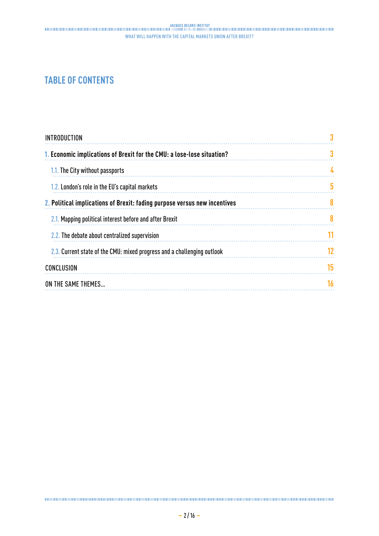# **TABLE OF CONTENTS**

| <b>INTRODUCTION</b>                                                       |    |
|---------------------------------------------------------------------------|----|
| 1. Economic implications of Brexit for the CMU: a lose-lose situation?    | 3  |
| 1.1. The City without passports                                           |    |
| 1.2. London's role in the EU's capital markets                            | 5  |
| 2. Political implications of Brexit: fading purpose versus new incentives | 8  |
| 2.1. Mapping political interest before and after Brexit                   | 8  |
| 2.2. The debate about centralized supervision                             | 11 |
| 2.3. Current state of the CMU: mixed progress and a challenging outlook   | 12 |
| CONCLUSION                                                                | 15 |
| ON THE SAME THEMES                                                        | 16 |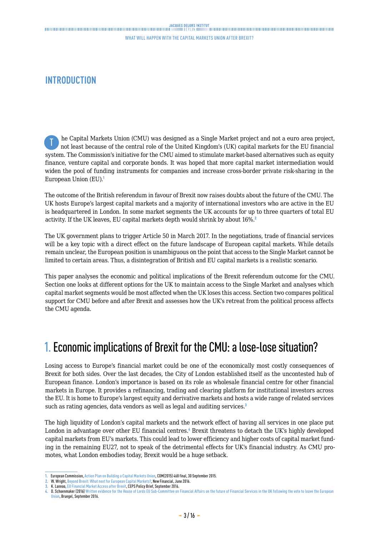# <span id="page-2-0"></span>**INTRODUCTION**

he Capital Markets Union (CMU) was designed as a Single Market project and not a euro area project, not least because of the central role of the United Kingdom's (UK) capital markets for the EU financial system. The Commission's initiative for the CMU aimed to stimulate market-based alternatives such as equity finance, venture capital and corporate bonds. It was hoped that more capital market intermediation would widen the pool of funding instruments for companies and increase cross-border private risk-sharing in the European Union (EU).<sup>1</sup> T

The outcome of the British referendum in favour of Brexit now raises doubts about the future of the CMU. The UK hosts Europe's largest capital markets and a majority of international investors who are active in the EU is headquartered in London. In some market segments the UK accounts for up to three quarters of total EU activity. If the UK leaves, EU capital markets depth would shrink by about 16%.<sup>2</sup>

The UK government plans to trigger Article 50 in March 2017. In the negotiations, trade of financial services will be a key topic with a direct effect on the future landscape of European capital markets. While details remain unclear, the European position is unambiguous on the point that access to the Single Market cannot be limited to certain areas. Thus, a disintegration of British and EU capital markets is a realistic scenario.

This paper analyses the economic and political implications of the Brexit referendum outcome for the CMU. Section one looks at different options for the UK to maintain access to the Single Market and analyses which capital market segments would be most affected when the UK loses this access. Section two compares political support for CMU before and after Brexit and assesses how the UK's retreat from the political process affects the CMU agenda.

# 1. Economic implications of Brexit for the CMU: a lose-lose situation?

Losing access to Europe's financial market could be one of the economically most costly consequences of Brexit for both sides. Over the last decades, the City of London established itself as the uncontested hub of European finance. London's importance is based on its role as wholesale financial centre for other financial markets in Europe. It provides a refinancing, trading and clearing platform for institutional investors across the EU. It is home to Europe's largest equity and derivative markets and hosts a wide range of related services such as rating agencies, data vendors as well as legal and auditing services.<sup>3</sup>

The high liquidity of London's capital markets and the network effect of having all services in one place put London in advantage over other EU financial centres.<sup>4</sup> Brexit threatens to detach the UK's highly developed capital markets from EU's markets. This could lead to lower efficiency and higher costs of capital market funding in the remaining EU27, not to speak of the detrimental effects for UK's financial industry. As CMU promotes, what London embodies today, Brexit would be a huge setback.

**<sup>1.</sup>** European Commission, [Action Plan on Building a Capital Markets Union](http://eur-lex.europa.eu/legal-content/EN/TXT/PDF/?uri=CELEX:52015DC0468&from=EN), COM(2015) 468 final, 30 September 2015.

**<sup>2.</sup>** W. Wright, [Beyond Brexit: What next for European Capital Markets?](http://newfinancial.eu/wp-content/uploads/2016/06/Beyond-Brexit-what-next-for-European-capital-markets1.pdf), New Financial, June 2016.

**<sup>3.</sup>** K. Lannoo, [EU Financial Market Access after Brexit](https://www.ceps.eu/system/files/Brexit and the financial sector_0.pdf), CEPS Policy Brief, September 2016.

D. Schoenmaker (2016) [Written evidence for the House of Lords EU Sub-Committee on Financial Affairs on the future of Financial Services in the UK following the vote to leave the European](http://bruegel.org/wp-content/uploads/2016/09/Written-Evidence-House-of-Lords-12-9.pdf) [Union,](http://bruegel.org/wp-content/uploads/2016/09/Written-Evidence-House-of-Lords-12-9.pdf) Bruegel, September 2016.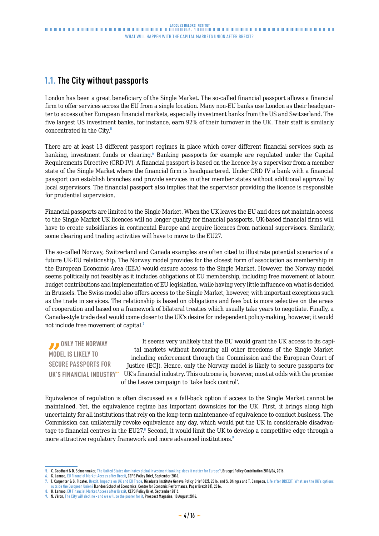# <span id="page-3-0"></span>**1.1. The City without passports**

London has been a great beneficiary of the Single Market. The so-called financial passport allows a financial firm to offer services across the EU from a single location. Many non-EU banks use London as their headquarter to access other European financial markets, especially investment banks from the US and Switzerland. The five largest US investment banks, for instance, earn 92% of their turnover in the UK. Their staff is similarly concentrated in the City.<sup>5</sup>

There are at least 13 different passport regimes in place which cover different financial services such as banking, investment funds or clearing. Banking passports for example are regulated under the Capital Requirements Directive (CRD IV). A financial passport is based on the licence by a supervisor from a member state of the Single Market where the financial firm is headquartered. Under CRD IV a bank with a financial passport can establish branches and provide services in other member states without additional approval by local supervisors. The financial passport also implies that the supervisor providing the licence is responsible for prudential supervision.

Financial passports are limited to the Single Market. When the UK leaves the EU and does not maintain access to the Single Market UK licences will no longer qualify for financial passports. UK-based financial firms will have to create subsidiaries in continental Europe and acquire licences from national supervisors. Similarly, some clearing and trading activities will have to move to the EU27.

The so-called Norway, Switzerland and Canada examples are often cited to illustrate potential scenarios of a future UK-EU relationship. The Norway model provides for the closest form of association as membership in the European Economic Area (EEA) would ensure access to the Single Market. However, the Norway model seems politically not feasibly as it includes obligations of EU membership, including free movement of labour, budget contributions and implementation of EU legislation, while having very little influence on what is decided in Brussels. The Swiss model also offers access to the Single Market, however, with important exceptions such as the trade in services. The relationship is based on obligations and fees but is more selective on the areas of cooperation and based on a framework of bilateral treaties which usually take years to negotiate. Finally, a Canada-style trade deal would come closer to the UK's desire for independent policy-making, however, it would not include free movement of capital.<sup>7</sup>

*B* ONLY THE NORWAY **MODEL IS LIKELY TO SECURE PASSPORTS FOR UK'S FINANCIAL INDUSTRY"** UK's financial industry. This outcome is, however, most at odds with the promise It seems very unlikely that the EU would grant the UK access to its capital markets without honouring all other freedoms of the Single Market including enforcement through the Commission and the European Court of Justice (ECJ). Hence, only the Norway model is likely to secure passports for of the Leave campaign to 'take back control'.

Equivalence of regulation is often discussed as a fall-back option if access to the Single Market cannot be maintained. Yet, the equivalence regime has important downsides for the UK. First, it brings along high uncertainty for all institutions that rely on the long-term maintenance of equivalence to conduct business. The Commission can unilaterally revoke equivalence any day, which would put the UK in considerable disadvantage to financial centres in the EU27.8 Second, it would limit the UK to develop a competitive edge through a more attractive regulatory framework and more advanced institutions.<sup>9</sup>

**<sup>5.</sup>** C. Goodhart & D. Schoenmaker, [The United States dominates global investment banking: does it matter for Europe?,](http://bruegel.org/wp-content/uploads/2016/03/pc_2016_06-1.pdf) Bruegel Policy Contribution 2016/06, 2016.

**<sup>6.</sup>** K. Lannoo, [EU Financial Market Access after Brexit](https://www.ceps.eu/system/files/Brexit and the financial sector_0.pdf), CEPS Policy Brief, September 2016.

**<sup>7.</sup>** T. Carpenter & G. Floater. [Brexit: Impacts on UK and EU Trade](http://graduateinstitute.ch/files/live/sites/iheid/files/sites/ctei/shared/CTEI/working_papers/CTEI Policy Brief 002 - Brexit (FINAL1).pdf), (Graduate Institute Geneva Policy Brief 002), 2016. and S. Dhingra and T. Sampson, [Life after BREXIT: What are the UK's options](http://cep.lse.ac.uk/pubs/download/brexit01.pdf) [outside the European Union?](http://cep.lse.ac.uk/pubs/download/brexit01.pdf) (London School of Economics, Centre for Economic Performance, Paper Brexit 01), 2016.

**<sup>8.</sup>** K. Lannoo, [EU Financial Market Access after Brexit,](https://www.ceps.eu/system/files/Brexit and the financial sector_0.pdf) CEPS Policy Brief, September 2016.

**<sup>9.</sup>** N. Véron, [The City will decline - and we will be the poorer for it](http://www.prospectmagazine.co.uk/magazine/capital-flight-london-economy-brexit-business), Prospect Magazine, 18 August 2016.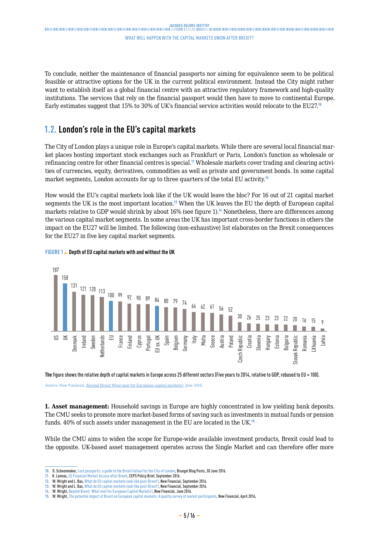<span id="page-4-0"></span>To conclude, neither the maintenance of financial passports nor aiming for equivalence seem to be political feasible or attractive options for the UK in the current political environment. Instead the City might rather want to establish itself as a global financial centre with an attractive regulatory framework and high-quality institutions. The services that rely on the financial passport would then have to move to continental Europe. Early estimates suggest that 15% to 30% of UK's financial service activities would relocate to the EU27.<sup>10</sup>

# **1.2. London's role in the EU's capital markets**

The City of London plays a unique role in Europe's capital markets. While there are several local financial market places hosting important stock exchanges such as Frankfurt or Paris, London's function as wholesale or refinancing centre for other financial centres is special.<sup>11</sup> Wholesale markets cover trading and clearing activities of currencies, equity, derivatives, commodities as well as private and government bonds. In some capital market segments, London accounts for up to three quarters of the total EU activity.<sup>12</sup>

How would the EU's capital markets look like if the UK would leave the bloc? For 16 out of 21 capital market segments the UK is the most important location.<sup>13</sup> When the UK leaves the EU the depth of European capital markets relative to GDP would shrink by about 16% (see figure 1).<sup>14</sup> Nonetheless, there are differences among the various capital market segments. In some areas the UK has important cross-border functions in others the impact on the EU27 will be limited. The following (non-exhaustive) list elaborates on the Brexit consequences for the EU27 in five key capital market segments.



#### **FIGURE 1 Depth of EU capital markets with and without the UK**

**The** figure shows the relative depth of capital markets in Europe across 25 different sectors (Five years to 2014, relative to GDP, rebased to EU = 100).

Source: New Financial, [Beyond Brexit What next for European capital markets?,](http://newfinancial.eu/wp-content/uploads/2016/06/Beyond-Brexit-what-next-for-European-capital-markets1.pdf) June 2016.

**1. Asset management:** Household savings in Europe are highly concentrated in low yielding bank deposits. The CMU seeks to promote more market-based forms of saving such as investments in mutual funds or pension funds. 40% of such assets under management in the EU are located in the UK.<sup>15</sup>

While the CMU aims to widen the scope for Europe-wide available investment products, Brexit could lead to the opposite. UK-based asset management operates across the Single Market and can therefore offer more

**<sup>10.</sup>** D. Schoenmaker, [Lost passports: a guide to the Brexit fallout for the City of London](http://bruegel.org/2016/06/lost-passports-a-guide-to-the-brexit-fallout-for-the-city-of-london/), Bruegel Blog Posts, 30 June 2016.

**<sup>11.</sup>** K. Lannoo, [EU Financial Market Access after Brexit](https://www.ceps.eu/system/files/Brexit and the financial sector_0.pdf), CEPS Policy Brief, September 2016.

**<sup>12.</sup>** W. Wright and L. Bax, [What do EU capital markets look like post-Brexit?,](http://newfinancial.eu/wp-content/uploads/2016/09/2016.09-What-do-EU-capital-markets-look-like-post-Brexit-a-report-by-New-Financial.pdf) New Financial, September 2016.

**<sup>13.</sup>** W. Wright and L. Bax, [What do EU capital markets look like post-Brexit?,](http://newfinancial.eu/wp-content/uploads/2016/09/2016.09-What-do-EU-capital-markets-look-like-post-Brexit-a-report-by-New-Financial.pdf) New Financial, September 2016.

**<sup>14.</sup>** W. Wright, [Beyond Brexit: What next for European Capital Markets?,](http://newfinancial.eu/wp-content/uploads/2016/06/Beyond-Brexit-what-next-for-European-capital-markets1.pdf) New Financial, June 2016.

**<sup>15.</sup>** W. Wright, [The potential impact of Brexit on European capital markets: A quality survey of market participants](http://newfinancial.eu/wp-content/uploads/2016/04/The-potential-impact-of-Brexit-on-European-capital-markets-New-Financial-Apr-2016.pdf), New Financial, April 2016,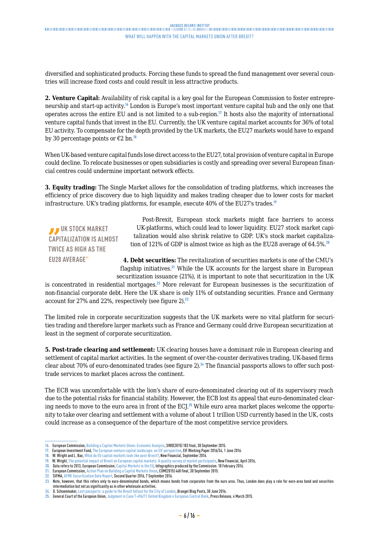diversified and sophisticated products. Forcing these funds to spread the fund management over several countries will increase fixed costs and could result in less attractive products.

**2. Venture Capital:** Availability of risk capital is a key goal for the European Commission to foster entrepreneurship and start-up activity.<sup>16</sup> London is Europe's most important venture capital hub and the only one that operates across the entire EU and is not limited to a sub-region.<sup>17</sup> It hosts also the majority of international venture capital funds that invest in the EU. Currently, the UK venture capital market accounts for 36% of total EU activity. To compensate for the depth provided by the UK markets, the EU27 markets would have to expand by 30 percentage points or  $\epsilon$ 2 bn.<sup>18</sup>

When UK-based venture capital funds lose direct access to the EU27, total provision of venture capital in Europe could decline. To relocate businesses or open subsidiaries is costly and spreading over several European financial centres could undermine important network effects.

**3. Equity trading:** The Single Market allows for the consolidation of trading platforms, which increases the efficiency of price discovery due to high liquidity and makes trading cheaper due to lower costs for market infrastructure. UK's trading platforms, for example, execute 40% of the EU27's trades.<sup>19</sup>

*D* UK STOCK MARKET **CAPITALIZATION IS ALMOST TWICE AS HIGH AS THE EU28 AVERAGE"**

Post-Brexit, European stock markets might face barriers to access UK-platforms, which could lead to lower liquidity. EU27 stock market capitalization would also shrink relative to GDP. UK's stock market capitalization of 121% of GDP is almost twice as high as the EU28 average of 64.5%.<sup>20</sup>

**4. Debt securities:** The revitalization of securities markets is one of the CMU's flagship initiatives.<sup>21</sup> While the UK accounts for the largest share in European securitization issuance (21%), it is important to note that securitization in the UK

is concentrated in residential mortgages.<sup>22</sup> More relevant for European businesses is the securitization of non-financial corporate debt. Here the UK share is only 11% of outstanding securities. France and Germany account for 27% and 22%, respectively (see figure 2).<sup>23</sup>

The limited role in corporate securitization suggests that the UK markets were no vital platform for securities trading and therefore larger markets such as France and Germany could drive European securitization at least in the segment of corporate securitization.

**5. Post-trade clearing and settlement:** UK clearing houses have a dominant role in European clearing and settlement of capital market activities. In the segment of over-the-counter derivatives trading, UK-based firms clear about 70% of euro-denominated trades (see figure 2).<sup>24</sup> The financial passports allows to offer such posttrade services to market places across the continent.

The ECB was uncomfortable with the lion's share of euro-denominated clearing out of its supervisory reach due to the potential risks for financial stability. However, the ECB lost its appeal that euro-denominated clearing needs to move to the euro area in front of the ECJ.<sup>25</sup> While euro area market places welcome the opportunity to take over clearing and settlement with a volume of about 1 trillion USD currently based in the UK, costs could increase as a consequence of the departure of the most competitive service providers.

**<sup>16.</sup>** European Commission, [Building a Capital Markets Union: Economic Analysis,](http://ec.europa.eu/finance/capital-markets-union/docs/building-cmu-economic-analysis_en.pdf) SWD(2015) 183 final, 30 September 2015.

**<sup>17.</sup>** European Investment Fund, [The European venture capital landscape: an EIF perspective,](http://www.eif.org/news_centre/publications/EIF_Working_Paper_2016_34.htm) EIF Working Paper 2016/34, 1 June 2016.

**<sup>18.</sup>** W. Wright and L. Bax, [What do EU capital markets look like post-Brexit?,](http://newfinancial.eu/wp-content/uploads/2016/09/2016.09-What-do-EU-capital-markets-look-like-post-Brexit-a-report-by-New-Financial.pdf) New Financial, September 2016.

**<sup>19.</sup>** W. Wright, [The potential impact of Brexit on European capital markets: A quality survey of market participants](http://newfinancial.eu/wp-content/uploads/2016/04/The-potential-impact-of-Brexit-on-European-capital-markets-New-Financial-Apr-2016.pdf), New Financial, April 2016,

**<sup>20.</sup>** Data refers to 2013, European Commission, [Capital Markets in the EU,](http://ec.europa.eu/finance/capital-markets-union/docs/capital-markets-in-eu_en.pdf) Infographics produced by the Commission. 18 February 2016. **21.** European Commission, [Action Plan on Building a Capital Markets Union](http://eur-lex.europa.eu/legal-content/EN/TXT/PDF/?uri=CELEX:52015DC0468&from=EN), COM(2015) 468 final, 30 September 2015.

**<sup>22.</sup>** SIFMA, [AFME Securitization Data Report,](http://www.sifma.org/research/item.aspx?id=8589962069) Second Quarter 2016, 7 September 2016.

**<sup>23.</sup>** Note, however, that this refers only to euro-denominated bonds, which means bonds from corporates from the euro area. Thus, London does play a role for euro-area bond and securities intermediation but not as significantly as in other wholesale activities.

**<sup>24.</sup>** D. Schoenmaker, [Lost passports: a guide to the Brexit fallout for the City of London](http://bruegel.org/2016/06/lost-passports-a-guide-to-the-brexit-fallout-for-the-city-of-london/), Bruegel Blog Posts, 30 June 2016.

**<sup>25.</sup>** General Court of the European Union, [Judgment in Case T-496/11 United Kingdom v European Central Bank,](http://curia.europa.eu/jcms/upload/docs/application/pdf/2015-03/cp150029en.pdf) Press Release, 4 March 2015.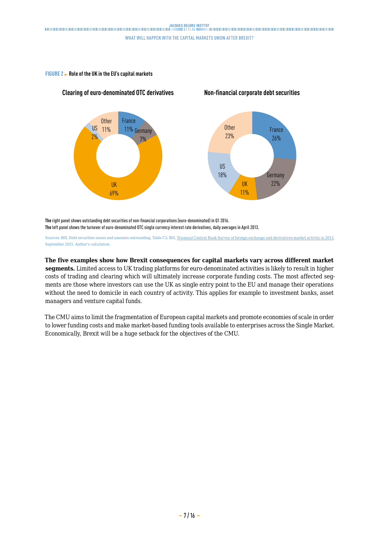**Non-financial corporate debt securities**

#### **FIGURE 2 Role of the UK in the EU's capital markets**

**Clearing of euro-denominated OTC derivatives**



**The** right panel shows outstanding debt securities of non-financial corporations (euro-denominated) in Q1 2016. **The** left panel shows the turnover of euro-denominated OTC single currency interest rate derivatives, daily averages in April 2013.

Sources: BIS, Debt securities issues and amounts outstanding, Table C3; BIS, [Triennial Central Bank Survey of foreign exchange and derivatives market activity in 2013,](http://www.bis.org/publ/rpfx13.htm) September 2015. Author's calculation.

#### **The five examples show how Brexit consequences for capital markets vary across different market**

**segments.** Limited access to UK trading platforms for euro-denominated activities is likely to result in higher costs of trading and clearing which will ultimately increase corporate funding costs. The most affected segments are those where investors can use the UK as single entry point to the EU and manage their operations without the need to domicile in each country of activity. This applies for example to investment banks, asset managers and venture capital funds.

The CMU aims to limit the fragmentation of European capital markets and promote economies of scale in order to lower funding costs and make market-based funding tools available to enterprises across the Single Market. Economically, Brexit will be a huge setback for the objectives of the CMU.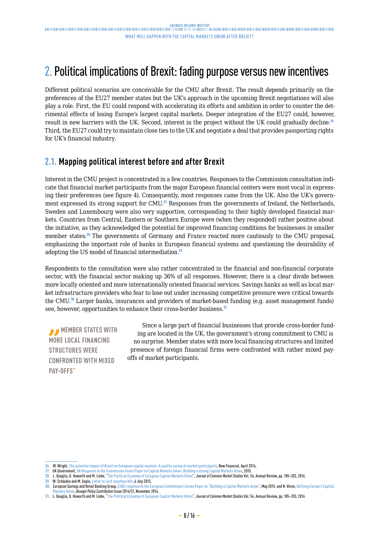# <span id="page-7-0"></span>2. Political implications of Brexit: fading purpose versus new incentives

Different political scenarios are conceivable for the CMU after Brexit. The result depends primarily on the preferences of the EU27 member states but the UK's approach in the upcoming Brexit negotiations will also play a role. First, the EU could respond with accelerating its efforts and ambition in order to counter the detrimental effects of losing Europe's largest capital markets. Deeper integration of the EU27 could, however, result in new barriers with the UK. Second, interest in the project without the UK could gradually decline.<sup>26</sup> Third, the EU27 could try to maintain close ties to the UK and negotiate a deal that provides passporting rights for UK's financial industry.

# **2.1. Mapping political interest before and after Brexit**

Interest in the CMU project is concentrated in a few countries. Responses to the Commission consultation indicate that financial market participants from the major European financial centers were most vocal in expressing their preferences (see figure 4). Consequently, most responses came from the UK. Also the UK's government expressed its strong support for CMU.<sup>27</sup> Responses from the governments of Ireland, the Netherlands, Sweden and Luxembourg were also very supportive, corresponding to their highly developed financial markets. Countries from Central, Eastern or Southern Europe were (when they responded) rather positive about the initiative, as they acknowledged the potential for improved financing conditions for businesses in smaller member states.<sup>28</sup> The governments of Germany and France reacted more cautiously to the CMU proposal, emphasizing the important role of banks in European financial systems and questioning the desirability of adopting the US model of financial intermediation.<sup>29</sup>

Respondents to the consultation were also rather concentrated in the financial and non-financial corporate sector, with the financial sector making up 36% of all responses. However, there is a clear divide between more locally oriented and more internationally oriented financial services. Savings banks as well as local market infrastructure providers who fear to lose out under increasing competitive pressure were critical towards the CMU.<sup>30</sup> Larger banks, insurances and providers of market-based funding (e.g. asset management funds) see, however, opportunities to enhance their cross-border business.<sup>31</sup>

*MEMBER STATES WITH* **MORE LOCAL FINANCING STRUCTURES WERE CONFRONTED WITH MIXED PAY-OFFS"**

Since a large part of financial businesses that provide cross-border funding are located in the UK, the government's strong commitment to CMU is no surprise. Member states with more local financing structures and limited presence of foreign financial firms were confronted with rather mixed payoffs of market participants.

**<sup>26.</sup>** W. Wright, [The potential impact of Brexit on European capital markets: A quality survey of market participants,](http://newfinancial.eu/wp-content/uploads/2016/04/The-potential-impact-of-Brexit-on-European-capital-markets-New-Financial-Apr-2016.pdf) New Financial, April 2016,

**<sup>27.</sup>** UK Government, [UK Response to the Commission Green Paper on Capital Markets Union: Building a strong Capital Markets Union,](https://ec.europa.eu/eusurvey/files/634a485d-8dd9-41e6-af91-030013307436) 2015.

**<sup>28.</sup>** L. Quaglia, D. Howarth and M. Liebe, ["The Political Economy of European Capital Markets Union"](https://orbilu.uni.lu/bitstream/10993/28242/2/Quaglia, Howarth and Liebe, Capital Markets Union, JCMS 2016.pdf), *Journal of Common Market Studies* Vol. 54, Annual Review, pp. 185–203, 2016.

**<sup>29.</sup>** W. Schäuble and M. Sapin, [Letter to Lord Jonathan Hill,](http://www.economie.gouv.fr/files/files/PDF/2015-07-06_letter-about_capital-markets-union_6-july-2015.pdf) 6 July 2015.

**<sup>30.</sup>** European Savings and Retail Banking Group, [ESBG response to the European Commission's Green Paper on "Building a Capital Markets Union",](http://www.savings-banks.com/SiteCollectionDocuments/ESBG response to the European Commission%E2%80%99s Green Paper on Building a Capital Markets Union.pdf) May 2015. and N. Véron, [Defining Europe's Capital](http://bruegel.org/wp-content/uploads/imported/publications/pc_2014_12_cmu.pdf) [Markets Union](http://bruegel.org/wp-content/uploads/imported/publications/pc_2014_12_cmu.pdf), *Bruegel Policy Contribution* Issue 2014/12, November 2014.

**<sup>31.</sup>** L. Quaglia, D. Howarth and M. Liebe, "[The Political Economy of European Capital Markets Union"](https://orbilu.uni.lu/bitstream/10993/28242/2/Quaglia, Howarth and Liebe, Capital Markets Union, JCMS 2016.pdf), *Journal of Common Market Studie*s Vol. 54, Annual Review, pp. 185–203, 2016.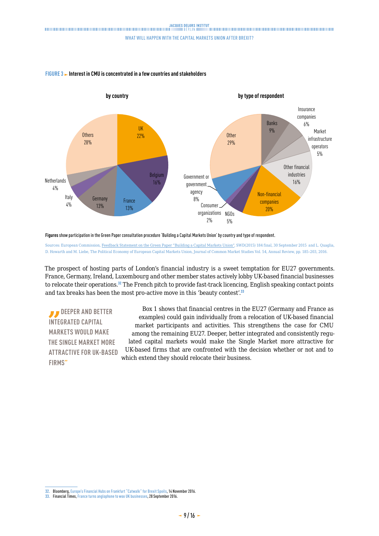

## **FIGURE 3** Interest in CMU is concentrated in a few countries and stakeholders

**Figures** show participation in the Green Paper consultation procedure 'Building a Capital Markets Union' by country and type of respondent.

Sources: European Commission, [Feedback Statement on the Green Paper "Building a Capital Markets Union"](http://ec.europa.eu/finance/consultations/2015/capital-markets-union/docs/summary-of-responses_en.pdf), SWD(2015) 184 final, 30 September 2015 and L. Quaglia, D. Howarth and M. Liebe, [The Political Economy of European Capital Markets Union](https://orbilu.uni.lu/bitstream/10993/28242/2/Quaglia, Howarth and Liebe, Capital Markets Union, JCMS 2016.pdf), Journal of Common Market Studies Vol. 54, Annual Review, pp. 185–203, 2016.

The prospect of hosting parts of London's financial industry is a sweet temptation for EU27 governments. France, Germany, Ireland, Luxembourg and other member states actively lobby UK-based financial businesses to relocate their operations.<sup>32</sup> The French pitch to provide fast-track licencing, English speaking contact points and tax breaks has been the most pro-active move in this 'beauty contest'.<sup>33</sup>

*DEEPER AND BETTER* **INTEGRATED CAPITAL MARKETS WOULD MAKE THE SINGLE MARKET MORE ATTRACTIVE FOR UK-BASED FIRMS"**

Box 1 shows that financial centres in the EU27 (Germany and France as examples) could gain individually from a relocation of UK-based financial market participants and activities. This strengthens the case for CMU among the remaining EU27. Deeper, better integrated and consistently regulated capital markets would make the Single Market more attractive for UK-based firms that are confronted with the decision whether or not and to which extend they should relocate their business.

**<sup>32.</sup>** Bloomberg, [Europe's Financial Hubs on Frankfurt "Catwalk" for Brexit Spoils](https://www.bloomberg.com/news/articles/2016-11-14/frankfurt-woos-biggest-u-s-banks-for-share-of-brexit-spoils), 14 November 2016.

**<sup>33.</sup>** Financial Times, [France turns anglophone to woo UK businesses,](https://www.ft.com/content/07d81e34-859c-11e6-8897-2359a58ac7a5) 28 September 2016.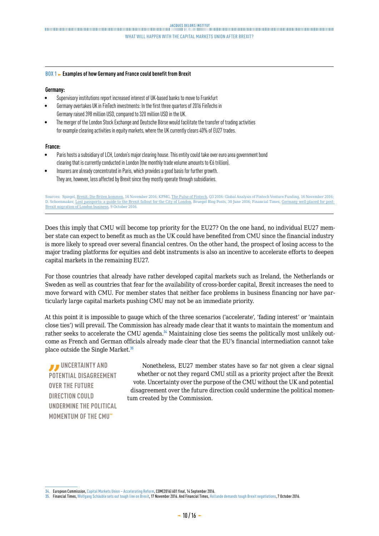#### **BOX 1 Examples of how Germany and France could benefit from Brexit**

#### **Germany:**

- Supervisory institutions report increased interest of UK-based banks to move to Frankfurt
- Germany overtakes UK in FinTech investments: In the first three quarters of 2016 FinTechs in Germany raised 398 million USD, compared to 320 million USD in the UK.
- The merger of the London Stock Exchange and Deutsche Börse would facilitate the transfer of trading activities for example clearing activities in equity markets, where the UK currently clears 40% of EU27 trades.

#### **France:**

- Paris hosts a subsidiary of LCH, London's major clearing house. This entity could take over euro area government bond clearing that is currently conducted in London (the monthly trade volume amounts to €6 trillion).
- Insurers are already concentrated in Paris, which provides a good basis for further growth. They are, however, less affected by Brexit since they mostly operate through subsidiaries.

Sources: Spiegel, [Brexit: Die Briten kommen](http://www.spiegel.de/wirtschaft/soziales/brexit-firmen-bereiten-sich-auf-verlagerung-ins-ausland-vor-a-1121177.html#ref=rss), 14 November 2016; KPMG, [The Pulse of Fintech](https://assets.kpmg.com/content/dam/kpmg/xx/pdf/2016/11/the-pulse-of-fintech-q3-report.pdf), Q3 2016: Global Analysis of Fintech Venture Funding, 16 November 2016; D. Schoenmaker, [Lost passports: a guide to the Brexit fallout for the City of London](http://bruegel.org/2016/06/lost-passports-a-guide-to-the-brexit-fallout-for-the-city-of-london/), Bruegel Blog Posts, 30 June 2016; Financial Times, [Germany well-placed for post-](https://www.ft.com/content/43686054-8c94-11e6-8aa5-f79f5696c731?emailid=5655d008cb56e60fc6447e22&ftcamp=crm/email//nbe/BrusselsBrief/product)[Brexit migration of London business](https://www.ft.com/content/43686054-8c94-11e6-8aa5-f79f5696c731?emailid=5655d008cb56e60fc6447e22&ftcamp=crm/email//nbe/BrusselsBrief/product), 9 October 2016.

Does this imply that CMU will become top priority for the EU27? On the one hand, no individual EU27 member state can expect to benefit as much as the UK could have benefited from CMU since the financial industry is more likely to spread over several financial centres. On the other hand, the prospect of losing access to the major trading platforms for equities and debt instruments is also an incentive to accelerate efforts to deepen capital markets in the remaining EU27.

For those countries that already have rather developed capital markets such as Ireland, the Netherlands or Sweden as well as countries that fear for the availability of cross-border capital, Brexit increases the need to move forward with CMU. For member states that neither face problems in business financing nor have particularly large capital markets pushing CMU may not be an immediate priority.

At this point it is impossible to gauge which of the three scenarios ('accelerate', 'fading interest' or 'maintain close ties') will prevail. The Commission has already made clear that it wants to maintain the momentum and rather seeks to accelerate the CMU agenda.<sup>34</sup> Maintaining close ties seems the politically most unlikely outcome as French and German officials already made clear that the EU's financial intermediation cannot take place outside the Single Market.<sup>35</sup>

*B* UNCERTAINTY AND **POTENTIAL DISAGREEMENT OVER THE FUTURE DIRECTION COULD UNDERMINE THE POLITICAL MOMENTUM OF THE CMU"**

Nonetheless, EU27 member states have so far not given a clear signal whether or not they regard CMU still as a priority project after the Brexit vote. Uncertainty over the purpose of the CMU without the UK and potential disagreement over the future direction could undermine the political momentum created by the Commission.

**<sup>34.</sup>** European Commission, [Capital Markets Union – Accelerating Reform](http://ec.europa.eu/finance/capital-markets-union/docs/20160913-cmu-accelerating-reform_en.pdf), COM(2016) 601 final, 14 September 2016.

**<sup>35.</sup>** Financial Times, [Wolfgang Schäuble sets out tough line on Brexit](https://www.ft.com/content/765a1f2a-acba-11e6-9cb3-bb8207902122), 17 November 2016. And Financial Times, [Hollande demands tough Brexit negotiations,](https://www.ft.com/content/5f84e4c4-8c17-11e6-8aa5-f79f5696c731) 7 October 2016.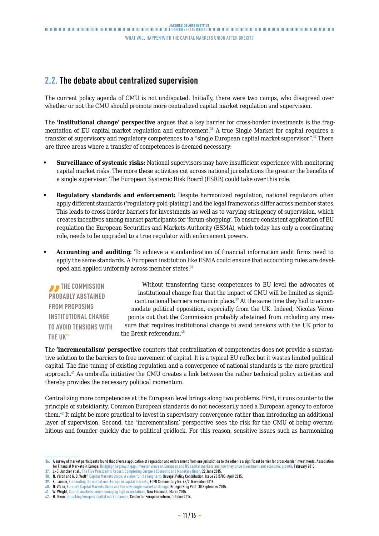# <span id="page-10-0"></span>**2.2. The debate about centralized supervision**

The current policy agenda of CMU is not undisputed. Initially, there were two camps, who disagreed over whether or not the CMU should promote more centralized capital market regulation and supervision.

The **'institutional change' perspective** argues that a key barrier for cross-border investments is the fragmentation of EU capital market regulation and enforcement.<sup>36</sup> A true Single Market for capital requires a transfer of supervisory and regulatory competences to a "single European capital market supervisor".<sup>37</sup> There are three areas where a transfer of competences is deemed necessary:

- **• Surveillance of systemic risks:** National supervisors may have insufficient experience with monitoring capital market risks. The more these activities cut across national jurisdictions the greater the benefits of a single supervisor. The European Systemic Risk Board (ESRB) could take over this role.
- **• Regulatory standards and enforcement:** Despite harmonized regulation, national regulators often apply different standards ('regulatory gold-plating') and the legal frameworks differ across member states. This leads to cross-border barriers for investments as well as to varying stringency of supervision, which creates incentives among market participants for 'forum-shopping'. To ensure consistent application of EU regulation the European Securities and Markets Authority (ESMA), which today has only a coordinating role, needs to be upgraded to a true regulator with enforcement powers.
- **• Accounting and auditing:** To achieve a standardization of financial information audit firms need to apply the same standards. A European institution like ESMA could ensure that accounting rules are developed and applied uniformly across member states.<sup>38</sup>

**THE COMMISSION PROBABLY ABSTAINED FROM PROPOSING INSTITUTIONAL CHANGE TO AVOID TENSIONS WITH THE UK"**

Without transferring these competences to EU level the advocates of institutional change fear that the impact of CMU will be limited as significant national barriers remain in place.<sup>39</sup> At the same time they had to accommodate political opposition, especially from the UK. Indeed, Nicolas Véron points out that the Commission probably abstained from including any measure that requires institutional change to avoid tensions with the UK prior to the Brexit referendum.<sup>40</sup>

The **'incrementalism' perspective** counters that centralization of competencies does not provide a substantive solution to the barriers to free movement of capital. It is a typical EU reflex but it wastes limited political capital. The fine-tuning of existing regulation and a convergence of national standards is the more practical approach.<sup>41</sup> As umbrella initiative the CMU creates a link between the rather technical policy activities and thereby provides the necessary political momentum.

Centralizing more competencies at the European level brings along two problems. First, it runs counter to the principle of subsidiarity. Common European standards do not necessarily need a European agency to enforce them.<sup>42</sup> It might be more practical to invest in supervisory convergence rather than introducing an additional layer of supervision. Second, the 'incrementalism' perspective sees the risk for the CMU of being overambitious and founder quickly due to political gridlock. For this reason, sensitive issues such as harmonizing

**<sup>36.</sup>** A survey of market participants found that diverse application of regulation and enforcement from one jurisdiction to the other is a significant barrier for cross-border investments. Association for Financial Markets in Europe, [Bridging the growth gap: Investor views on European and US capital markets and how they drive investment and economic growth](http://www.afme.eu/globalassets/downloads/afme-reports/afme_growth_flagship_cw.pdf), February 2015.

**<sup>37.</sup>** J.-C. Juncker et al., [The Five President's Report: Completing Europe's Economic and Monetary Union,](https://ec.europa.eu/priorities/sites/beta-political/files/5-presidents-report_en.pdf) 22 June 2015.

**<sup>38.</sup>** N. Véron and G. B. Wolff, [Capital Markets Union: A vision for the long term,](http://bruegel.org/wp-content/uploads/imported/publications/pc_2015_05__240415.pdf) Bruegel Policy Contribution, Issue 2015/05, April 2015.

**<sup>39.</sup>** K. Lannoo, [Eliminating the cost of non-Europe in capital markets,](https://www.ceps.eu/system/files/No32 KL Upgrade CMU.pdf) ECMI Commentary No. 43/2, November 2016. **40.** N. Véron, [Europe's Capital Markets Union and the new single market challenge](http://bruegel.org/2015/09/europes-capital-markets-union-and-the-new-single-market-challenge/), Bruegel Blog Post, 30 September 2015.

**<sup>41.</sup>** W. Wright, [Capital markets union: managing high expectations,](http://newfinancial.eu/wp-content/uploads/2015/03/Capital-markets-union-managing-unrealistic-expectations-March-20154.pdf) New Financial, March 2015.

**<sup>42.</sup>** H. Dixon. [Unlocking Europe's capital markets union,](http://www.cer.org.uk/sites/default/files/publications/attachments/pdf/2014/unlocking_europes_capital_markets_union_hugodixon_15.10.14-9870.pdf) Centre for European reform, October 2014,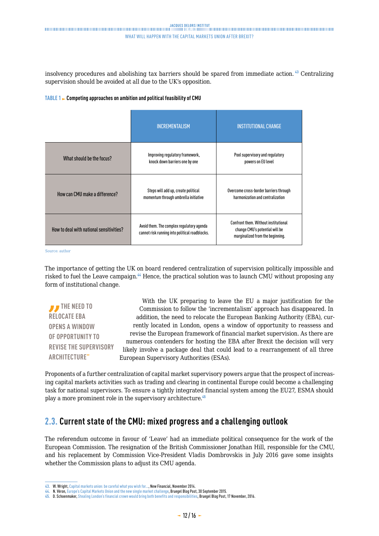<span id="page-11-0"></span>insolvency procedures and abolishing tax barriers should be spared from immediate action.<sup>43</sup> Centralizing supervision should be avoided at all due to the UK's opposition.

#### **TABLE 1 Competing approaches on ambition and political feasibility of CMU**

|                                          | <b>INCREMENTALISM</b>                                                                       | <b>INSTITUTIONAL CHANGE</b>                                                                                |
|------------------------------------------|---------------------------------------------------------------------------------------------|------------------------------------------------------------------------------------------------------------|
| What should be the focus?                | Improving regulatory framework,<br>knock down barriers one by one                           | Pool supervisory and regulatory<br>powers on EU level                                                      |
| How can CMU make a difference?           | Steps will add up, create political<br>momentum through umbrella initiative                 | Overcome cross-border barriers through<br>harmonization and centralization                                 |
| How to deal with national sensitivities? | Avoid them. The complex regulatory agenda<br>cannot risk running into political roadblocks. | Confront them. Without institutional<br>change CMU's potential will be<br>marginalized from the beginning. |

Source: author

The importance of getting the UK on board rendered centralization of supervision politically impossible and risked to fuel the Leave campaign.<sup>44</sup> Hence, the practical solution was to launch CMU without proposing any form of institutional change.

**THE NEED TO RELOCATE EBA OPENS A WINDOW OF OPPORTUNITY TO REVISE THE SUPERVISORY ARCHITECTURE"**

With the UK preparing to leave the EU a major justification for the Commission to follow the 'incrementalism' approach has disappeared. In addition, the need to relocate the European Banking Authority (EBA), currently located in London, opens a window of opportunity to reassess and revise the European framework of financial market supervision. As there are numerous contenders for hosting the EBA after Brexit the decision will very likely involve a package deal that could lead to a rearrangement of all three European Supervisory Authorities (ESAs).

Proponents of a further centralization of capital market supervisory powers argue that the prospect of increasing capital markets activities such as trading and clearing in continental Europe could become a challenging task for national supervisors. To ensure a tightly integrated financial system among the EU27, ESMA should play a more prominent role in the supervisory architecture.<sup>45</sup>

# **2.3. Current state of the CMU: mixed progress and a challenging outlook**

The referendum outcome in favour of 'Leave' had an immediate political consequence for the work of the European Commission. The resignation of the British Commissioner Jonathan Hill, responsible for the CMU, and his replacement by Commission Vice-President Vladis Dombrovskis in July 2016 gave some insights whether the Commission plans to adjust its CMU agenda.

**<sup>43.</sup>** W. Wright, [Capital markets union: be careful what you wish for…](http://newfinancial.eu/wp-content/uploads/2014/11/Capital-markets-union-be-careful-what-you-wish-for.pdf), New Financial, November 2014.

**<sup>44.</sup>** N. Véron, [Europe's Capital Markets Union and the new single market challenge](http://bruegel.org/2015/09/europes-capital-markets-union-and-the-new-single-market-challenge/), Bruegel Blog Post, 30 September 2015.

**<sup>45.</sup>** D. Schoenmaker, [Stealing London's financial crown would bring both benefits and responsibilities](http://bruegel.org/2016/11/stealing-londons-financial-crown-would-bring-both-benefits-and-responsibilities/), Bruegel Blog Post, 17 November, 2016.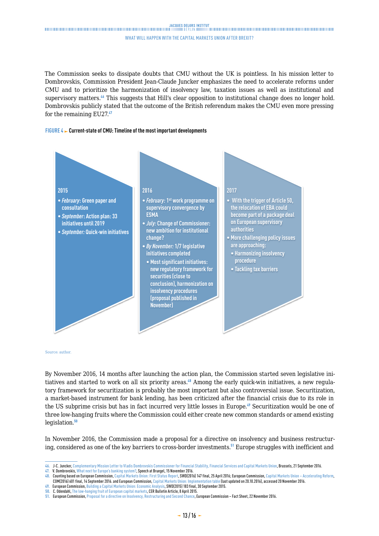The Commission seeks to dissipate doubts that CMU without the UK is pointless. In his mission letter to Dombrovskis, Commission President Jean-Claude Juncker emphasizes the need to accelerate reforms under CMU and to prioritize the harmonization of insolvency law, taxation issues as well as institutional and supervisory matters.<sup>46</sup> This suggests that Hill's clear opposition to institutional change does no longer hold. Dombrovskis publicly stated that the outcome of the British referendum makes the CMU even more pressing for the remaining EU27.<sup>47</sup>

#### **FIGURE 4 Current-state of CMU: Timeline of the most important developments**



Source: author.

By November 2016, 14 months after launching the action plan, the Commission started seven legislative initiatives and started to work on all six priority areas.<sup>48</sup> Among the early quick-win initiatives, a new regulatory framework for securitization is probably the most important but also controversial issue. Securitization, a market-based instrument for bank lending, has been criticized after the financial crisis due to its role in the US subprime crisis but has in fact incurred very little losses in Europe.<sup>49</sup> Securitization would be one of three low-hanging fruits where the Commission could either create new common standards or amend existing legislation.<sup>50</sup>

In November 2016, the Commission made a proposal for a directive on insolvency and business restructuring, considered as one of the key barriers to cross-border investments.<sup>51</sup> Europe struggles with inefficient and

**<sup>46.</sup>** J-C. Juncker, [Complementary Mission Letter to Vladis Dombrovskis Commissioner for Financial Stability, Financial Services and Capital Markets Union](https://ec.europa.eu/commission/sites/cwt/files/commissioner_mission_letters/dombrovksis-complementary-mission_en.pdfhttps:/ec.europa.eu/commission/sites/cwt/files/commissioner_mission_letters/dombrovksis-complementary-mission_en.pdf), Brussels, 21 September 2016.

**<sup>47.</sup>** V. Dombrovskis, [What next for Europe's banking system?](http://bruegel.org/events/what-next-for-europes-banking-future/), Speech at Bruegel, 15 November 2016.

**<sup>48.</sup>** Counting based on European Commission, [Capital Markets Union: First Status Report,](http://ec.europa.eu/finance/capital-markets-union/docs/cmu-first-status-report_en.pdf) SWD(2016) 147 final, 25 April 2016; European Commission, [Capital Markets Union – Accelerating Reform](http://ec.europa.eu/finance/capital-markets-union/docs/20160913-cmu-accelerating-reform_en.pdf), COM(2016) 601 final, 14 September 2016. and European Commission, [Capital Markets Union: Implementation table](http://ec.europa.eu/finance/capital-markets-union/implementation-table_en.htm) (last updated on 20.10.2016), accessed 20 November 2016.

**<sup>49.</sup>** European Commission, [Building a Capital Markets Union: Economic Analysis,](http://ec.europa.eu/finance/capital-markets-union/docs/building-cmu-economic-analysis_en.pdf) SWD(2015) 183 final, 30 September 2015. **50.** C. Odendahl, [The low-hanging fruit of European capital markets](https://www.cer.org.uk/publications/archive/bulletin-article/2015/low-hanging-fruit-european-capital-markets), CER Bulletin Article, 8 April 2015.

**<sup>51.</sup>** European Commission, [Proposal for a directive on Insolvency, Restructuring and Second Chance,](http://europa.eu/rapid/press-release_MEMO-16-3803_en.htm) European Commission – Fact Sheet, 22 November 2016.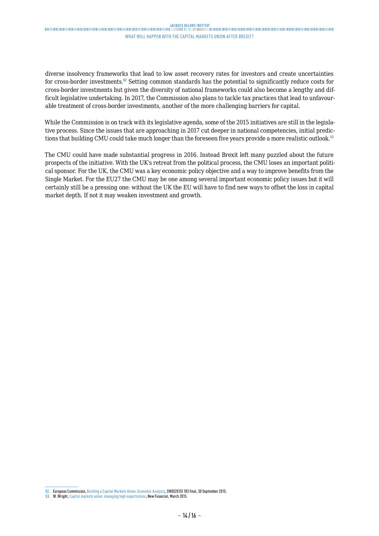## .<br>Thuninghanga and the manufacture and the contract and the contract and the contract and the contract and the contract and the contract and the contract and the contract and the contract and the contract and the contract WHAT WILL HAPPEN WITH THE CAPITAL MARKETS UNION AFTER BREXIT?

diverse insolvency frameworks that lead to low asset recovery rates for investors and create uncertainties for cross-border investments.<sup>52</sup> Setting common standards has the potential to significantly reduce costs for cross-border investments but given the diversity of national frameworks could also become a lengthy and difficult legislative undertaking. In 2017, the Commission also plans to tackle tax practices that lead to unfavourable treatment of cross-border investments, another of the more challenging barriers for capital.

While the Commission is on track with its legislative agenda, some of the 2015 initiatives are still in the legislative process. Since the issues that are approaching in 2017 cut deeper in national competencies, initial predictions that building CMU could take much longer than the foreseen five years provide a more realistic outlook.<sup>53</sup>

The CMU could have made substantial progress in 2016. Instead Brexit left many puzzled about the future prospects of the initiative. With the UK's retreat from the political process, the CMU loses an important political sponsor. For the UK, the CMU was a key economic policy objective and a way to improve benefits from the Single Market. For the EU27 the CMU may be one among several important economic policy issues but it will certainly still be a pressing one: without the UK the EU will have to find new ways to offset the loss in capital market depth. If not it may weaken investment and growth.

**<sup>52.</sup>** European Commission, [Building a Capital Markets Union: Economic Analysis](http://ec.europa.eu/finance/capital-markets-union/docs/building-cmu-economic-analysis_en.pdf), SWD(2015) 183 final, 30 September 2015.

**<sup>53.</sup>** W. Wright, [Capital markets union: managing high expectations](http://newfinancial.eu/wp-content/uploads/2015/03/Capital-markets-union-managing-unrealistic-expectations-March-20154.pdf), New Financial, March 2015.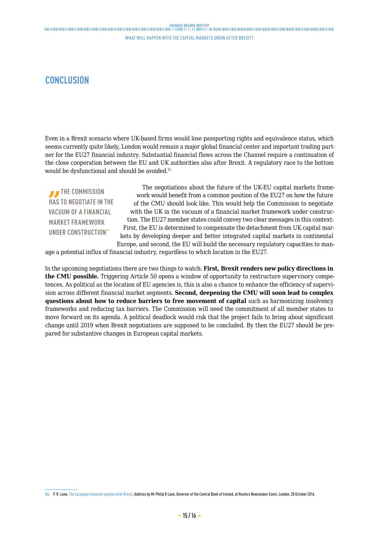# <span id="page-14-0"></span>**CONCLUSION**

Even in a Brexit scenario where UK-based firms would lose passporting rights and equivalence status, which seems currently quite likely, London would remain a major global financial center and important trading partner for the EU27 financial industry. Substantial financial flows across the Channel require a continuation of the close cooperation between the EU and UK authorities also after Brexit. A regulatory race to the bottom would be dysfunctional and should be avoided.<sup>54</sup>

**THE COMMISSION HAS TO NEGOTIATE IN THE VACUUM OF A FINANCIAL MARKET FRAMEWORK UNDER CONSTRUCTION"**

The negotiations about the future of the UK-EU capital markets framework would benefit from a common position of the EU27 on how the future of the CMU should look like. This would help the Commission to negotiate with the UK in the vacuum of a financial market framework under construction. The EU27 member states could convey two clear messages in this context: First, the EU is determined to compensate the detachment from UK capital markets by developing deeper and better integrated capital markets in continental Europe, and second, the EU will build the necessary regulatory capacities to man-

age a potential influx of financial industry, regardless to which location in the EU27.

In the upcoming negotiations there are two things to watch: **First, Brexit renders new policy directions in the CMU possible.** Triggering Article 50 opens a window of opportunity to restructure supervisory competences. As political as the location of EU agencies is, this is also a chance to enhance the efficiency of supervision across different financial market segments. **Second, deepening the CMU will soon lead to complex questions about how to reduce barriers to free movement of capital** such as harmonizing insolvency frameworks and reducing tax barriers. The Commission will need the commitment of all member states to move forward on its agenda. A political deadlock would risk that the project fails to bring about significant change until 2019 when Brexit negotiations are supposed to be concluded. By then the EU27 should be prepared for substantive changes in European capital markets.

**<sup>54.</sup>** P. R. Lane, [The European financial system after Brexit](https://www.bis.org/review/r161110b.htm), Address by Mr Philip R Lane, Governor of the Central Bank of Ireland, at Reuters Newsmaker Event, London, 28 October 2016.